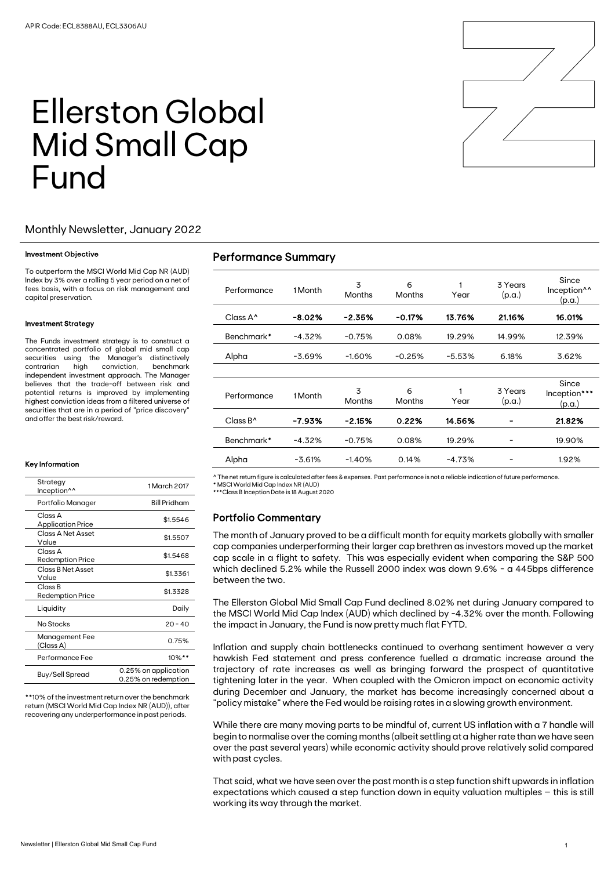

# Ellerston Global Mid Small Cap Fund

## Monthly Newsletter, January 2022

#### Investment Objective

To outperform the MSCI World Mid Cap NR (AUD) Index by 3% over a rolling 5 year period on a net of fees basis, with a focus on risk management and capital preservation.

#### Investment Strategy

The Funds investment strategy is to construct a concentrated portfolio of global mid small cap securities using the Manager's distinctively<br>contrarian high conviction. benchmark high conviction, benchmark independent investment approach. The Manager believes that the trade-off between risk and potential returns is improved by implementing highest conviction ideas from a filtered universe of securities that are in a period of "price discovery" and offer the best risk/reward.

#### Key Information

| Strategy<br>Inception <sup>^^</sup> | 1 March 2017                                |  |  |
|-------------------------------------|---------------------------------------------|--|--|
| Portfolio Manager                   | <b>Bill Pridham</b>                         |  |  |
| Class A<br><b>Application Price</b> | \$1.5546                                    |  |  |
| Class A Net Asset<br>Value          | \$1.5507                                    |  |  |
| Class A<br><b>Redemption Price</b>  | \$1.5468                                    |  |  |
| Class B Net Asset<br>Value          | \$1.3361                                    |  |  |
| Class B<br><b>Redemption Price</b>  | \$1.3328                                    |  |  |
| Liquidity                           | Daily                                       |  |  |
| No Stocks                           | $20 - 40$                                   |  |  |
| Management Fee<br>(Class A)         | 0.75%                                       |  |  |
| Performance Fee                     | $10\%$ **                                   |  |  |
| Buy/Sell Spread                     | 0.25% on application<br>0.25% on redemption |  |  |

\*\*10% of the investment return over the benchmark return (MSCI World Mid Cap Index NR (AUD)), after recovering any underperformance in past periods.

# Performance Summary

| Performance                              | 1 Month  | 3<br>Months | 6<br>Months | Year     | 3 Years<br>(p.a.) | Since<br>Inception <sup>^^</sup><br>(p.a.) |
|------------------------------------------|----------|-------------|-------------|----------|-------------------|--------------------------------------------|
| $Class A^{\wedge}$                       | $-8.02%$ | $-2.35%$    | $-0.17%$    | 13.76%   | 21.16%            | 16.01%                                     |
| Benchmark*                               | $-4.32%$ | $-0.75%$    | 0.08%       | 19.29%   | 14.99%            | 12.39%                                     |
| Alpha                                    | $-3.69%$ | $-1.60%$    | $-0.25%$    | $-5.53%$ | 6.18%             | 3.62%                                      |
|                                          |          |             |             |          |                   |                                            |
| Performance                              | 1 Month  | 3<br>Months | 6<br>Months | Year     | 3 Years<br>(p.a.) | Since<br>Inception***<br>(p.a.)            |
| $Cl$ ass B <sup><math>\land</math></sup> | -7.93%   | $-2.15%$    | 0.22%       | 14.56%   |                   | 21.82%                                     |
| Benchmark*                               | $-4.32%$ | $-0.75%$    | 0.08%       | 19.29%   |                   | 19.90%                                     |
| Alpha                                    | $-3.61%$ | $-1.40%$    | 0.14%       | $-4.73%$ |                   | 1.92%                                      |

^ The net return figure is calculated after fees & expenses. Past performance is not a reliable indication of future performance.

\* MSCI World Mid Cap Index NR (AUD) \*\*\*Class B Inception Date is 18 August 2020

## Portfolio Commentary

The month of January proved to be a difficult month for equity markets globally with smaller cap companies underperforming their larger cap brethren as investors moved up the market cap scale in a flight to safety. This was especially evident when comparing the S&P 500 which declined 5.2% while the Russell 2000 index was down 9.6% - a 445bps difference between the two.

The Ellerston Global Mid Small Cap Fund declined 8.02% net during January compared to the MSCI World Mid Cap Index (AUD) which declined by -4.32% over the month. Following the impact in January, the Fund is now pretty much flat FYTD.

Inflation and supply chain bottlenecks continued to overhang sentiment however a very hawkish Fed statement and press conference fuelled a dramatic increase around the trajectory of rate increases as well as bringing forward the prospect of quantitative tightening later in the year. When coupled with the Omicron impact on economic activity during December and January, the market has become increasingly concerned about a "policy mistake" where the Fed would be raising rates in a slowing growth environment.

While there are many moving parts to be mindful of, current US inflation with a 7 handle will begin to normalise over the coming months (albeit settling at a higher rate than we have seen over the past several years) while economic activity should prove relatively solid compared with past cycles.

That said, what we have seen over the past month is a step function shift upwards in inflation expectations which caused a step function down in equity valuation multiples – this is still working its way through the market.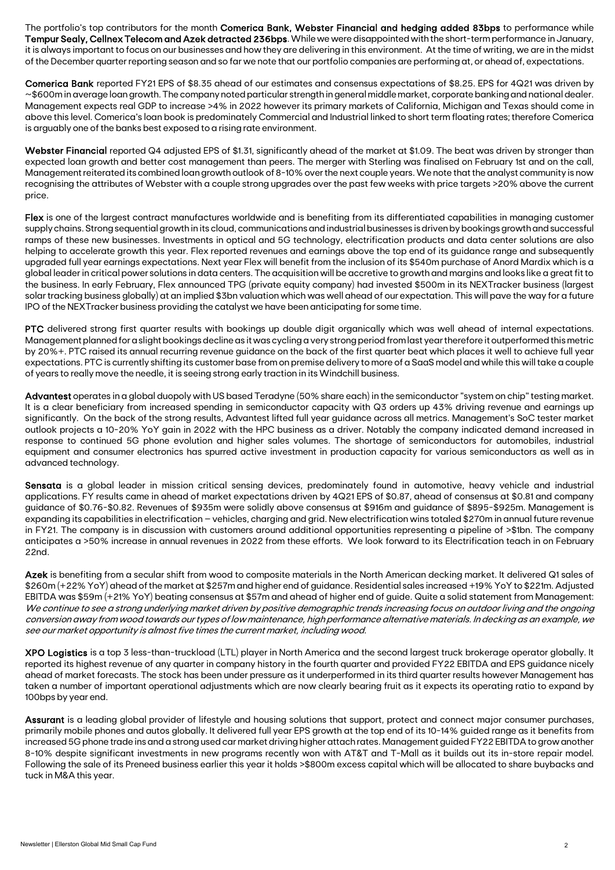The portfolio's top contributors for the month Comerica Bank, Webster Financial and hedging added 83bps to performance while Tempur Sealy, Cellnex Telecom and Azek detracted 236bps. While we were disappointed with the short-term performance in January, it is always important to focus on our businesses and how they are delivering in this environment. At the time of writing, we are in the midst of the December quarter reporting season and so far we note that our portfolio companies are performing at, or ahead of, expectations.

Comerica Bank reported FY21 EPS of \$8.35 ahead of our estimates and consensus expectations of \$8.25. EPS for 4Q21 was driven by ~\$600m in average loan growth. The company noted particular strength in general middle market, corporate banking and national dealer. Management expects real GDP to increase >4% in 2022 however its primary markets of California, Michigan and Texas should come in above this level. Comerica's loan book is predominately Commercial and Industrial linked to short term floating rates; therefore Comerica is arguably one of the banks best exposed to a rising rate environment.

Webster Financial reported Q4 adjusted EPS of \$1.31, significantly ahead of the market at \$1.09. The beat was driven by stronger than expected loan growth and better cost management than peers. The merger with Sterling was finalised on February 1st and on the call, Management reiterated its combined loan growth outlook of 8-10% over the next couple years. We note that the analyst community is now recognising the attributes of Webster with a couple strong upgrades over the past few weeks with price targets >20% above the current price.

Flex is one of the largest contract manufactures worldwide and is benefiting from its differentiated capabilities in managing customer supply chains. Strong sequential growth in its cloud, communications and industrial businesses is driven by bookings growth and successful ramps of these new businesses. Investments in optical and 5G technology, electrification products and data center solutions are also helping to accelerate growth this year. Flex reported revenues and earnings above the top end of its guidance range and subsequently upgraded full year earnings expectations. Next year Flex will benefit from the inclusion of its \$540m purchase of Anord Mardix which is a global leader in critical power solutions in data centers. The acquisition will be accretive to growth and margins and looks like a great fit to the business. In early February, Flex announced TPG (private equity company) had invested \$500m in its NEXTracker business (largest solar tracking business globally) at an implied \$3bn valuation which was well ahead of our expectation. This will pave the way for a future IPO of the NEXTracker business providing the catalyst we have been anticipating for some time.

PTC delivered strong first quarter results with bookings up double digit organically which was well ahead of internal expectations. Management planned for a slight bookings decline as it was cycling a very strong period from last year therefore it outperformed this metric by 20%+. PTC raised its annual recurring revenue guidance on the back of the first quarter beat which places it well to achieve full year expectations. PTC is currently shifting its customer base from on premise delivery to more of a SaaS model and while this will take a couple of years to really move the needle, it is seeing strong early traction in its Windchill business.

Advantest operates in a global duopoly with US based Teradyne (50% share each) in the semiconductor "system on chip" testing market. It is a clear beneficiary from increased spending in semiconductor capacity with Q3 orders up 43% driving revenue and earnings up significantly. On the back of the strong results, Advantest lifted full year guidance across all metrics. Management's SoC tester market outlook projects a 10-20% YoY gain in 2022 with the HPC business as a driver. Notably the company indicated demand increased in response to continued 5G phone evolution and higher sales volumes. The shortage of semiconductors for automobiles, industrial equipment and consumer electronics has spurred active investment in production capacity for various semiconductors as well as in advanced technology.

Sensata is a global leader in mission critical sensing devices, predominately found in automotive, heavy vehicle and industrial applications. FY results came in ahead of market expectations driven by 4Q21 EPS of \$0.87, ahead of consensus at \$0.81 and company guidance of \$0.76-\$0.82. Revenues of \$935m were solidly above consensus at \$916m and guidance of \$895-\$925m. Management is expanding its capabilities in electrification – vehicles, charging and grid. New electrification wins totaled \$270m in annual future revenue in FY21. The company is in discussion with customers around additional opportunities representing a pipeline of >\$1bn. The company anticipates a >50% increase in annual revenues in 2022 from these efforts. We look forward to its Electrification teach in on February 22nd.

Azek is benefiting from a secular shift from wood to composite materials in the North American decking market. It delivered Q1 sales of \$260m (+22% YoY) ahead of the market at \$257m and higher end of guidance. Residential sales increased +19% YoY to \$221m. Adjusted EBITDA was \$59m (+21% YoY) beating consensus at \$57m and ahead of higher end of guide. Quite a solid statement from Management: We continue to see a strong underlying market driven by positive demographic trends increasing focus on outdoor living and the ongoing conversion away from wood towards our types of low maintenance, high performance alternative materials. In decking as an example, we see our market opportunity is almost five times the current market, including wood.

XPO Logistics is a top 3 less-than-truckload (LTL) player in North America and the second largest truck brokerage operator globally. It reported its highest revenue of any quarter in company history in the fourth quarter and provided FY22 EBITDA and EPS guidance nicely ahead of market forecasts. The stock has been under pressure as it underperformed in its third quarter results however Management has taken a number of important operational adjustments which are now clearly bearing fruit as it expects its operating ratio to expand by 100bps by year end.

Assurant is a leading global provider of lifestyle and housing solutions that support, protect and connect major consumer purchases, primarily mobile phones and autos globally. It delivered full year EPS growth at the top end of its 10-14% guided range as it benefits from increased 5G phone trade ins and a strong used car market driving higher attach rates. Management guided FY22 EBITDA to grow another 8-10% despite significant investments in new programs recently won with AT&T and T-Mall as it builds out its in-store repair model. Following the sale of its Preneed business earlier this year it holds >\$800m excess capital which will be allocated to share buybacks and tuck in M&A this year.